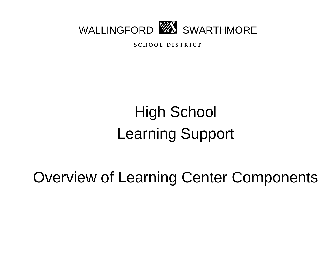

**S C H O O L D I S T R I C T**

# High School Learning Support

Overview of Learning Center Components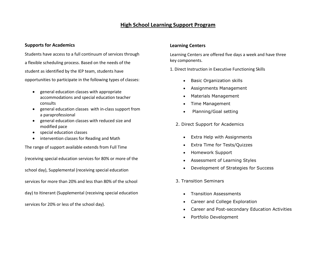## **High School Learning Support Program**

#### **Supports for Academics**

Students have access to a full continuum of services through a flexible scheduling process. Based on the needs of the student as identified by the IEP team, students have opportunities to participate in the following types of classes:

- general education classes with appropriate accommodations and special education teacher consults
- general education classes with in-class support from a paraprofessional
- general education classes with reduced size and modified pace
- special education classes
- intervention classes for Reading and Math

The range of support available extends from Full Time

(receiving special education services for 80% or more of the school day), Supplemental (receiving special education services for more than 20% and less than 80% of the school day) to Itinerant (Supplemental (receiving special education services for 20% or less of the school day).

### **Learning Centers**

Learning Centers are offered five days a week and have three key components.

1. Direct Instruction in Executive Functioning Skills

- **•** Basic Organization skills
- Assignments Management
- Materials Management
- Time Management
- Planning/Goal setting
- 2. Direct Support for Academics
	- Extra Help with Assignments
	- Extra Time for Tests/Quizzes
	- Homework Support
	- Assessment of Learning Styles
	- Development of Strategies for Success
- 3. Transition Seminars
	- Transition Assessments
	- Career and College Exploration
	- Career and Post-secondary Education Activities
	- Portfolio Development